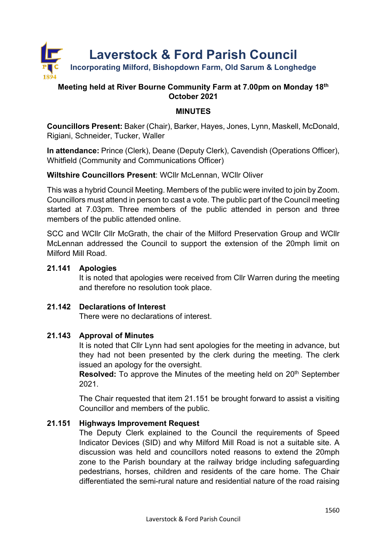

## **Meeting held at River Bourne Community Farm at 7.00pm on Monday 18th October 2021**

## **MINUTES**

**Councillors Present:** Baker (Chair), Barker, Hayes, Jones, Lynn, Maskell, McDonald, Rigiani, Schneider, Tucker, Waller

**In attendance:** Prince (Clerk), Deane (Deputy Clerk), Cavendish (Operations Officer), Whitfield (Community and Communications Officer)

**Wiltshire Councillors Present**: WCllr McLennan, WCllr Oliver

This was a hybrid Council Meeting. Members of the public were invited to join by Zoom. Councillors must attend in person to cast a vote. The public part of the Council meeting started at 7.03pm. Three members of the public attended in person and three members of the public attended online.

SCC and WCllr Cllr McGrath, the chair of the Milford Preservation Group and WCllr McLennan addressed the Council to support the extension of the 20mph limit on Milford Mill Road.

## **21.141 Apologies**

It is noted that apologies were received from Cllr Warren during the meeting and therefore no resolution took place.

#### **21.142 Declarations of Interest**

There were no declarations of interest.

## **21.143 Approval of Minutes**

It is noted that Cllr Lynn had sent apologies for the meeting in advance, but they had not been presented by the clerk during the meeting. The clerk issued an apology for the oversight.

**Resolved:** To approve the Minutes of the meeting held on 20<sup>th</sup> September 2021.

The Chair requested that item 21.151 be brought forward to assist a visiting Councillor and members of the public.

## **21.151 Highways Improvement Request**

The Deputy Clerk explained to the Council the requirements of Speed Indicator Devices (SID) and why Milford Mill Road is not a suitable site. A discussion was held and councillors noted reasons to extend the 20mph zone to the Parish boundary at the railway bridge including safeguarding pedestrians, horses, children and residents of the care home. The Chair differentiated the semi-rural nature and residential nature of the road raising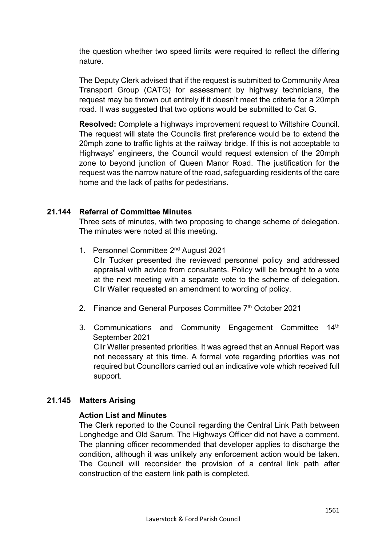the question whether two speed limits were required to reflect the differing nature.

The Deputy Clerk advised that if the request is submitted to Community Area Transport Group (CATG) for assessment by highway technicians, the request may be thrown out entirely if it doesn't meet the criteria for a 20mph road. It was suggested that two options would be submitted to Cat G.

**Resolved:** Complete a highways improvement request to Wiltshire Council. The request will state the Councils first preference would be to extend the 20mph zone to traffic lights at the railway bridge. If this is not acceptable to Highways' engineers, the Council would request extension of the 20mph zone to beyond junction of Queen Manor Road. The justification for the request was the narrow nature of the road, safeguarding residents of the care home and the lack of paths for pedestrians.

## **21.144 Referral of Committee Minutes**

Three sets of minutes, with two proposing to change scheme of delegation. The minutes were noted at this meeting.

1. Personnel Committee 2nd August 2021

Cllr Tucker presented the reviewed personnel policy and addressed appraisal with advice from consultants. Policy will be brought to a vote at the next meeting with a separate vote to the scheme of delegation. Cllr Waller requested an amendment to wording of policy.

- 2. Finance and General Purposes Committee 7th October 2021
- 3. Communications and Community Engagement Committee 14th September 2021 Cllr Waller presented priorities. It was agreed that an Annual Report was not necessary at this time. A formal vote regarding priorities was not required but Councillors carried out an indicative vote which received full support.

#### **21.145 Matters Arising**

#### **Action List and Minutes**

The Clerk reported to the Council regarding the Central Link Path between Longhedge and Old Sarum. The Highways Officer did not have a comment. The planning officer recommended that developer applies to discharge the condition, although it was unlikely any enforcement action would be taken. The Council will reconsider the provision of a central link path after construction of the eastern link path is completed.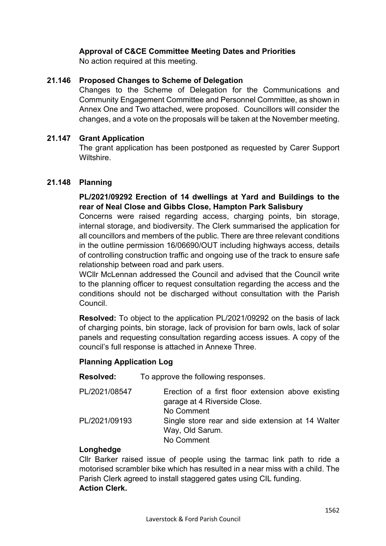## **Approval of C&CE Committee Meeting Dates and Priorities**

No action required at this meeting.

#### **21.146 Proposed Changes to Scheme of Delegation**

Changes to the Scheme of Delegation for the Communications and Community Engagement Committee and Personnel Committee, as shown in Annex One and Two attached, were proposed. Councillors will consider the changes, and a vote on the proposals will be taken at the November meeting.

#### **21.147 Grant Application**

The grant application has been postponed as requested by Carer Support Wiltshire.

#### **21.148 Planning**

#### **PL/2021/09292 Erection of 14 dwellings at Yard and Buildings to the rear of Neal Close and Gibbs Close, Hampton Park Salisbury**

Concerns were raised regarding access, charging points, bin storage, internal storage, and biodiversity. The Clerk summarised the application for all councillors and members of the public. There are three relevant conditions in the outline permission 16/06690/OUT including highways access, details of controlling construction traffic and ongoing use of the track to ensure safe relationship between road and park users.

WCllr McLennan addressed the Council and advised that the Council write to the planning officer to request consultation regarding the access and the conditions should not be discharged without consultation with the Parish Council.

**Resolved:** To object to the application PL/2021/09292 on the basis of lack of charging points, bin storage, lack of provision for barn owls, lack of solar panels and requesting consultation regarding access issues. A copy of the council's full response is attached in Annexe Three.

#### **Planning Application Log**

**Resolved:** To approve the following responses.

| PL/2021/08547 | Erection of a first floor extension above existing<br>garage at 4 Riverside Close.<br>No Comment |
|---------------|--------------------------------------------------------------------------------------------------|
| PL/2021/09193 | Single store rear and side extension at 14 Walter<br>Way, Old Sarum.<br>No Comment               |

#### **Longhedge**

Cllr Barker raised issue of people using the tarmac link path to ride a motorised scrambler bike which has resulted in a near miss with a child. The Parish Clerk agreed to install staggered gates using CIL funding. **Action Clerk.**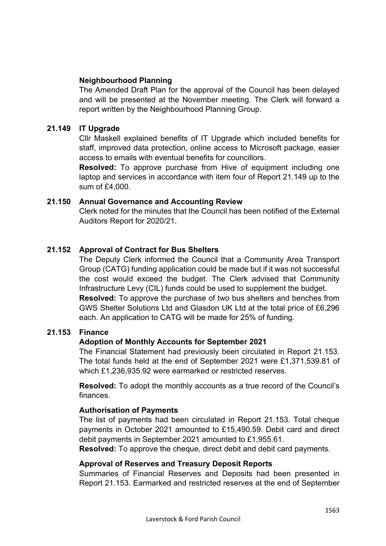## **Neighbourhood Planning**

The Amended Draft Plan for the approval of the Council has been delayed and will be presented at the November meeting. The Clerk will forward a report written by the Neighbourhood Planning Group.

## **21.149 IT Upgrade**

Cllr Maskell explained benefits of IT Upgrade which included benefits for staff, improved data protection, online access to Microsoft package, easier access to emails with eventual benefits for councillors.

**Resolved:** To approve purchase from Hive of equipment including one laptop and services in accordance with item four of Report 21.149 up to the sum of £4,000.

#### **21.150 Annual Governance and Accounting Review**

Clerk noted for the minutes that the Council has been notified of the External Auditors Report for 2020/21.

## **21.152 Approval of Contract for Bus Shelters**

The Deputy Clerk informed the Council that a Community Area Transport Group (CATG) funding application could be made but if it was not successful the cost would exceed the budget. The Clerk advised that Community Infrastructure Levy (CIL) funds could be used to supplement the budget. **Resolved:** To approve the purchase of two bus shelters and benches from GWS Shelter Solutions Ltd and Glasdon UK Ltd at the total price of £6,296 each. An application to CATG will be made for 25% of funding.

#### **21.153 Finance**

#### **Adoption of Monthly Accounts for September 2021**

The Financial Statement had previously been circulated in Report 21.153. The total funds held at the end of September 2021 were £1,371,539.81 of which £1,236,935.92 were earmarked or restricted reserves.

**Resolved:** To adopt the monthly accounts as a true record of the Council's finances.

#### **Authorisation of Payments**

The list of payments had been circulated in Report 21.153. Total cheque payments in October 2021 amounted to £15,490.59. Debit card and direct debit payments in September 2021 amounted to £1,955.61.

**Resolved:** To approve the cheque, direct debit and debit card payments.

#### **Approval of Reserves and Treasury Deposit Reports**

Summaries of Financial Reserves and Deposits had been presented in Report 21.153. Earmarked and restricted reserves at the end of September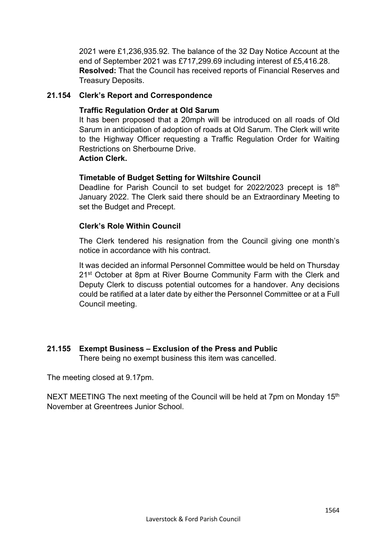2021 were £1,236,935.92. The balance of the 32 Day Notice Account at the end of September 2021 was £717,299.69 including interest of £5,416.28. **Resolved:** That the Council has received reports of Financial Reserves and Treasury Deposits.

## **21.154 Clerk's Report and Correspondence**

## **Traffic Regulation Order at Old Sarum**

It has been proposed that a 20mph will be introduced on all roads of Old Sarum in anticipation of adoption of roads at Old Sarum. The Clerk will write to the Highway Officer requesting a Traffic Regulation Order for Waiting Restrictions on Sherbourne Drive.

## **Action Clerk.**

## **Timetable of Budget Setting for Wiltshire Council**

Deadline for Parish Council to set budget for 2022/2023 precept is 18<sup>th</sup> January 2022. The Clerk said there should be an Extraordinary Meeting to set the Budget and Precept.

## **Clerk's Role Within Council**

The Clerk tendered his resignation from the Council giving one month's notice in accordance with his contract.

It was decided an informal Personnel Committee would be held on Thursday 21<sup>st</sup> October at 8pm at River Bourne Community Farm with the Clerk and Deputy Clerk to discuss potential outcomes for a handover. Any decisions could be ratified at a later date by either the Personnel Committee or at a Full Council meeting.

## **21.155 Exempt Business – Exclusion of the Press and Public**

There being no exempt business this item was cancelled.

The meeting closed at 9.17pm.

NEXT MEETING The next meeting of the Council will be held at 7pm on Monday 15<sup>th</sup> November at Greentrees Junior School.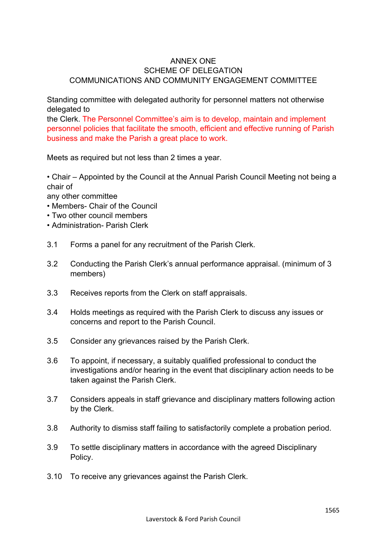#### ANNEX ONE SCHEME OF DELEGATION COMMUNICATIONS AND COMMUNITY ENGAGEMENT COMMITTEE

Standing committee with delegated authority for personnel matters not otherwise delegated to

the Clerk. The Personnel Committee's aim is to develop, maintain and implement personnel policies that facilitate the smooth, efficient and effective running of Parish business and make the Parish a great place to work.

Meets as required but not less than 2 times a year.

• Chair – Appointed by the Council at the Annual Parish Council Meeting not being a chair of

any other committee

- Members- Chair of the Council
- Two other council members
- Administration- Parish Clerk
- 3.1 Forms a panel for any recruitment of the Parish Clerk.
- 3.2 Conducting the Parish Clerk's annual performance appraisal. (minimum of 3 members)
- 3.3 Receives reports from the Clerk on staff appraisals.
- 3.4 Holds meetings as required with the Parish Clerk to discuss any issues or concerns and report to the Parish Council.
- 3.5 Consider any grievances raised by the Parish Clerk.
- 3.6 To appoint, if necessary, a suitably qualified professional to conduct the investigations and/or hearing in the event that disciplinary action needs to be taken against the Parish Clerk.
- 3.7 Considers appeals in staff grievance and disciplinary matters following action by the Clerk.
- 3.8 Authority to dismiss staff failing to satisfactorily complete a probation period.
- 3.9 To settle disciplinary matters in accordance with the agreed Disciplinary Policy.
- 3.10 To receive any grievances against the Parish Clerk.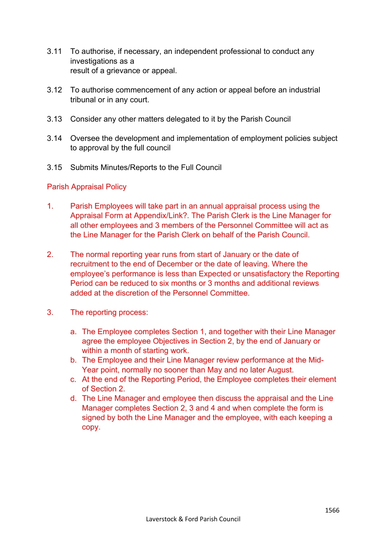- 3.11 To authorise, if necessary, an independent professional to conduct any investigations as a result of a grievance or appeal.
- 3.12 To authorise commencement of any action or appeal before an industrial tribunal or in any court.
- 3.13 Consider any other matters delegated to it by the Parish Council
- 3.14 Oversee the development and implementation of employment policies subject to approval by the full council
- 3.15 Submits Minutes/Reports to the Full Council

#### Parish Appraisal Policy

- 1. Parish Employees will take part in an annual appraisal process using the Appraisal Form at Appendix/Link?. The Parish Clerk is the Line Manager for all other employees and 3 members of the Personnel Committee will act as the Line Manager for the Parish Clerk on behalf of the Parish Council.
- 2. The normal reporting year runs from start of January or the date of recruitment to the end of December or the date of leaving. Where the employee's performance is less than Expected or unsatisfactory the Reporting Period can be reduced to six months or 3 months and additional reviews added at the discretion of the Personnel Committee.
- 3. The reporting process:
	- a. The Employee completes Section 1, and together with their Line Manager agree the employee Objectives in Section 2, by the end of January or within a month of starting work.
	- b. The Employee and their Line Manager review performance at the Mid-Year point, normally no sooner than May and no later August.
	- c. At the end of the Reporting Period, the Employee completes their element of Section 2.
	- d. The Line Manager and employee then discuss the appraisal and the Line Manager completes Section 2, 3 and 4 and when complete the form is signed by both the Line Manager and the employee, with each keeping a copy.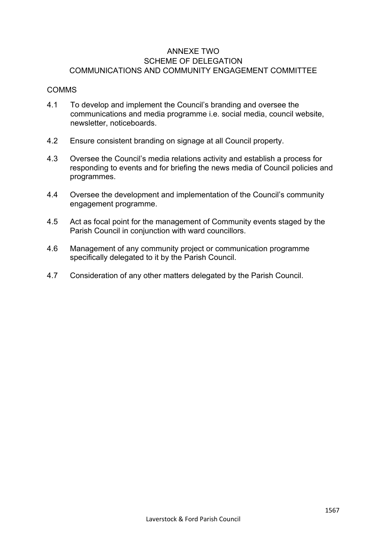#### ANNEXE TWO SCHEME OF DELEGATION COMMUNICATIONS AND COMMUNITY ENGAGEMENT COMMITTEE

#### COMMS

- 4.1 To develop and implement the Council's branding and oversee the communications and media programme i.e. social media, council website, newsletter, noticeboards.
- 4.2 Ensure consistent branding on signage at all Council property.
- 4.3 Oversee the Council's media relations activity and establish a process for responding to events and for briefing the news media of Council policies and programmes.
- 4.4 Oversee the development and implementation of the Council's community engagement programme.
- 4.5 Act as focal point for the management of Community events staged by the Parish Council in conjunction with ward councillors.
- 4.6 Management of any community project or communication programme specifically delegated to it by the Parish Council.
- 4.7 Consideration of any other matters delegated by the Parish Council.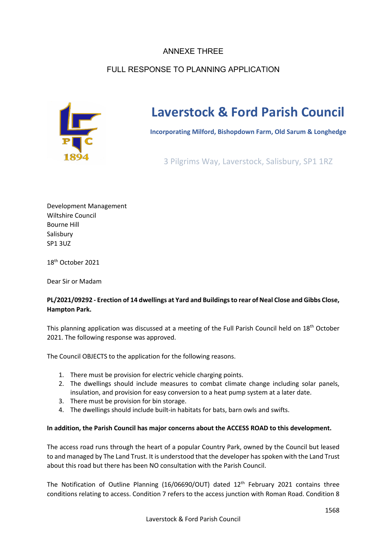## ANNEXE THREE

# FULL RESPONSE TO PLANNING APPLICATION



# **Laverstock & Ford Parish Council**

**Incorporating Milford, Bishopdown Farm, Old Sarum & Longhedge**

3 Pilgrims Way, Laverstock, Salisbury, SP1 1RZ

Development Management Wiltshire Council Bourne Hill Salisbury SP1 3UZ

18th October 2021

Dear Sir or Madam

#### **PL/2021/09292 - Erection of 14 dwellings at Yard and Buildings to rear of Neal Close and Gibbs Close, Hampton Park.**

This planning application was discussed at a meeting of the Full Parish Council held on  $18<sup>th</sup>$  October 2021. The following response was approved.

The Council OBJECTS to the application for the following reasons.

- 1. There must be provision for electric vehicle charging points.
- 2. The dwellings should include measures to combat climate change including solar panels, insulation, and provision for easy conversion to a heat pump system at a later date.
- 3. There must be provision for bin storage.
- 4. The dwellings should include built-in habitats for bats, barn owls and swifts.

#### **In addition, the Parish Council has major concerns about the ACCESS ROAD to this development.**

The access road runs through the heart of a popular Country Park, owned by the Council but leased to and managed by The Land Trust. It is understood that the developer has spoken with the Land Trust about this road but there has been NO consultation with the Parish Council.

The Notification of Outline Planning  $(16/06690/00)$  dated  $12<sup>th</sup>$  February 2021 contains three conditions relating to access. Condition 7 refers to the access junction with Roman Road. Condition 8